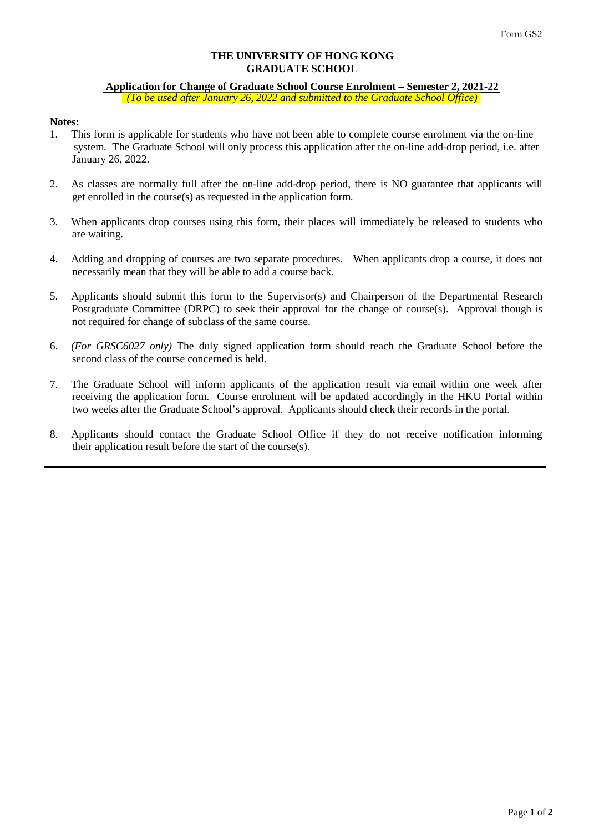#### **THE UNIVERSITY OF HONG KONG GRADUATE SCHOOL**

# **Application for Change of Graduate School Course Enrolment – Semester 2, 2021-22** *(To be used after January 26, 2022 and submitted to the Graduate School Office)*

# **Notes:**

- 1. This form is applicable for students who have not been able to complete course enrolment via the on-line system. The Graduate School will only process this application after the on-line add-drop period, i.e. after January 26, 2022.
- 2. As classes are normally full after the on-line add-drop period, there is NO guarantee that applicants will get enrolled in the course(s) as requested in the application form.
- 3. When applicants drop courses using this form, their places will immediately be released to students who are waiting.
- 4. Adding and dropping of courses are two separate procedures. When applicants drop a course, it does not necessarily mean that they will be able to add a course back.
- 5. Applicants should submit this form to the Supervisor(s) and Chairperson of the Departmental Research Postgraduate Committee (DRPC) to seek their approval for the change of course(s). Approval though is not required for change of subclass of the same course.
- 6. *(For GRSC6027 only)* The duly signed application form should reach the Graduate School before the second class of the course concerned is held.
- 7. The Graduate School will inform applicants of the application result via email within one week after receiving the application form. Course enrolment will be updated accordingly in the HKU Portal within two weeks after the Graduate School's approval. Applicants should check their records in the portal.
- 8. Applicants should contact the Graduate School Office if they do not receive notification informing their application result before the start of the course(s).